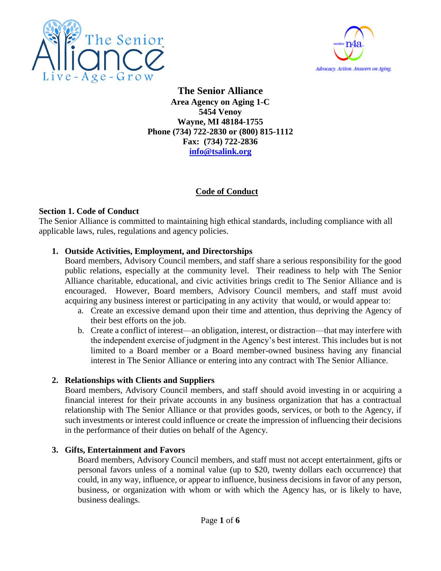



**The Senior Alliance Area Agency on Aging 1-C 5454 Venoy Wayne, MI 48184-1755 Phone (734) 722-2830 or (800) 815-1112 Fax: (734) 722-2836 [info@tsalink.org](mailto:info@tsalink.org)**

# **Code of Conduct**

#### **Section 1. Code of Conduct**

The Senior Alliance is committed to maintaining high ethical standards, including compliance with all applicable laws, rules, regulations and agency policies.

## **1. Outside Activities, Employment, and Directorships**

Board members, Advisory Council members, and staff share a serious responsibility for the good public relations, especially at the community level. Their readiness to help with The Senior Alliance charitable, educational, and civic activities brings credit to The Senior Alliance and is encouraged. However, Board members, Advisory Council members, and staff must avoid acquiring any business interest or participating in any activity that would, or would appear to:

- a. Create an excessive demand upon their time and attention, thus depriving the Agency of their best efforts on the job.
- b. Create a conflict of interest—an obligation, interest, or distraction—that may interfere with the independent exercise of judgment in the Agency's best interest. This includes but is not limited to a Board member or a Board member-owned business having any financial interest in The Senior Alliance or entering into any contract with The Senior Alliance.

## **2. Relationships with Clients and Suppliers**

Board members, Advisory Council members, and staff should avoid investing in or acquiring a financial interest for their private accounts in any business organization that has a contractual relationship with The Senior Alliance or that provides goods, services, or both to the Agency, if such investments or interest could influence or create the impression of influencing their decisions in the performance of their duties on behalf of the Agency.

## **3. Gifts, Entertainment and Favors**

Board members, Advisory Council members, and staff must not accept entertainment, gifts or personal favors unless of a nominal value (up to \$20, twenty dollars each occurrence) that could, in any way, influence, or appear to influence, business decisions in favor of any person, business, or organization with whom or with which the Agency has, or is likely to have, business dealings.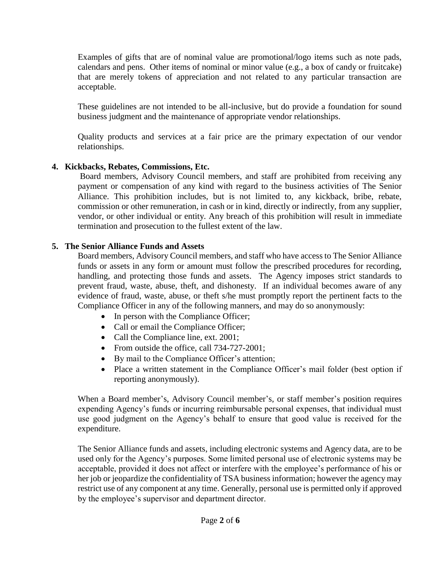Examples of gifts that are of nominal value are promotional/logo items such as note pads, calendars and pens. Other items of nominal or minor value (e.g., a box of candy or fruitcake) that are merely tokens of appreciation and not related to any particular transaction are acceptable.

These guidelines are not intended to be all-inclusive, but do provide a foundation for sound business judgment and the maintenance of appropriate vendor relationships.

Quality products and services at a fair price are the primary expectation of our vendor relationships.

## **4. Kickbacks, Rebates, Commissions, Etc.**

Board members, Advisory Council members, and staff are prohibited from receiving any payment or compensation of any kind with regard to the business activities of The Senior Alliance. This prohibition includes, but is not limited to, any kickback, bribe, rebate, commission or other remuneration, in cash or in kind, directly or indirectly, from any supplier, vendor, or other individual or entity. Any breach of this prohibition will result in immediate termination and prosecution to the fullest extent of the law.

## **5. The Senior Alliance Funds and Assets**

Board members, Advisory Council members, and staff who have access to The Senior Alliance funds or assets in any form or amount must follow the prescribed procedures for recording, handling, and protecting those funds and assets. The Agency imposes strict standards to prevent fraud, waste, abuse, theft, and dishonesty. If an individual becomes aware of any evidence of fraud, waste, abuse, or theft s/he must promptly report the pertinent facts to the Compliance Officer in any of the following manners, and may do so anonymously:

- In person with the Compliance Officer;
- Call or email the Compliance Officer;
- Call the Compliance line, ext. 2001;
- From outside the office, call 734-727-2001;
- By mail to the Compliance Officer's attention;
- Place a written statement in the Compliance Officer's mail folder (best option if reporting anonymously).

When a Board member's, Advisory Council member's, or staff member's position requires expending Agency's funds or incurring reimbursable personal expenses, that individual must use good judgment on the Agency's behalf to ensure that good value is received for the expenditure.

The Senior Alliance funds and assets, including electronic systems and Agency data, are to be used only for the Agency's purposes. Some limited personal use of electronic systems may be acceptable, provided it does not affect or interfere with the employee's performance of his or her job or jeopardize the confidentiality of TSA business information; however the agency may restrict use of any component at any time. Generally, personal use is permitted only if approved by the employee's supervisor and department director.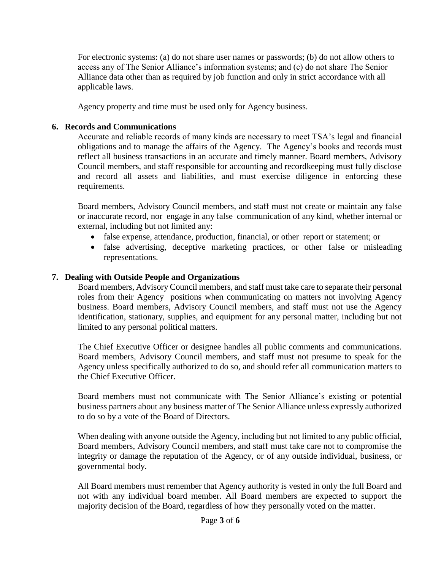For electronic systems: (a) do not share user names or passwords; (b) do not allow others to access any of The Senior Alliance's information systems; and (c) do not share The Senior Alliance data other than as required by job function and only in strict accordance with all applicable laws.

Agency property and time must be used only for Agency business.

### **6. Records and Communications**

Accurate and reliable records of many kinds are necessary to meet TSA's legal and financial obligations and to manage the affairs of the Agency. The Agency's books and records must reflect all business transactions in an accurate and timely manner. Board members, Advisory Council members, and staff responsible for accounting and recordkeeping must fully disclose and record all assets and liabilities, and must exercise diligence in enforcing these requirements.

Board members, Advisory Council members, and staff must not create or maintain any false or inaccurate record, nor engage in any false communication of any kind, whether internal or external, including but not limited any:

- false expense, attendance, production, financial, or other report or statement; or
- false advertising, deceptive marketing practices, or other false or misleading representations.

#### **7. Dealing with Outside People and Organizations**

Board members, Advisory Council members, and staff must take care to separate their personal roles from their Agency positions when communicating on matters not involving Agency business. Board members, Advisory Council members, and staff must not use the Agency identification, stationary, supplies, and equipment for any personal matter, including but not limited to any personal political matters.

The Chief Executive Officer or designee handles all public comments and communications. Board members, Advisory Council members, and staff must not presume to speak for the Agency unless specifically authorized to do so, and should refer all communication matters to the Chief Executive Officer.

Board members must not communicate with The Senior Alliance's existing or potential business partners about any business matter of The Senior Alliance unless expressly authorized to do so by a vote of the Board of Directors.

When dealing with anyone outside the Agency, including but not limited to any public official, Board members, Advisory Council members, and staff must take care not to compromise the integrity or damage the reputation of the Agency, or of any outside individual, business, or governmental body.

All Board members must remember that Agency authority is vested in only the full Board and not with any individual board member. All Board members are expected to support the majority decision of the Board, regardless of how they personally voted on the matter.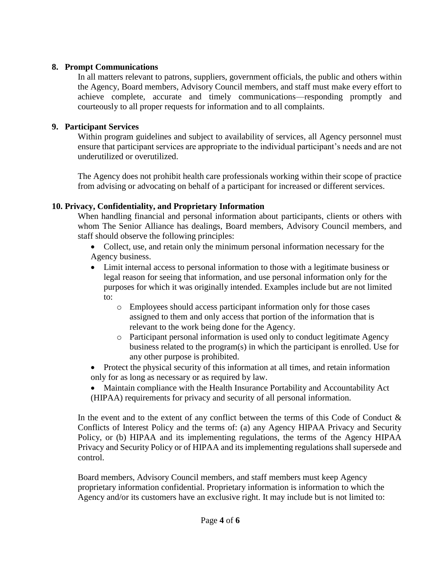#### **8. Prompt Communications**

In all matters relevant to patrons, suppliers, government officials, the public and others within the Agency, Board members, Advisory Council members, and staff must make every effort to achieve complete, accurate and timely communications—responding promptly and courteously to all proper requests for information and to all complaints.

### **9. Participant Services**

Within program guidelines and subject to availability of services, all Agency personnel must ensure that participant services are appropriate to the individual participant's needs and are not underutilized or overutilized.

The Agency does not prohibit health care professionals working within their scope of practice from advising or advocating on behalf of a participant for increased or different services.

#### **10. Privacy, Confidentiality, and Proprietary Information**

When handling financial and personal information about participants, clients or others with whom The Senior Alliance has dealings, Board members, Advisory Council members, and staff should observe the following principles:

- Collect, use, and retain only the minimum personal information necessary for the Agency business.
- Limit internal access to personal information to those with a legitimate business or legal reason for seeing that information, and use personal information only for the purposes for which it was originally intended. Examples include but are not limited to:
	- o Employees should access participant information only for those cases assigned to them and only access that portion of the information that is relevant to the work being done for the Agency.
	- o Participant personal information is used only to conduct legitimate Agency business related to the program(s) in which the participant is enrolled. Use for any other purpose is prohibited.
- Protect the physical security of this information at all times, and retain information only for as long as necessary or as required by law.
- Maintain compliance with the Health Insurance Portability and Accountability Act (HIPAA) requirements for privacy and security of all personal information.

In the event and to the extent of any conflict between the terms of this Code of Conduct & Conflicts of Interest Policy and the terms of: (a) any Agency HIPAA Privacy and Security Policy, or (b) HIPAA and its implementing regulations, the terms of the Agency HIPAA Privacy and Security Policy or of HIPAA and its implementing regulations shall supersede and control.

Board members, Advisory Council members, and staff members must keep Agency proprietary information confidential. Proprietary information is information to which the Agency and/or its customers have an exclusive right. It may include but is not limited to: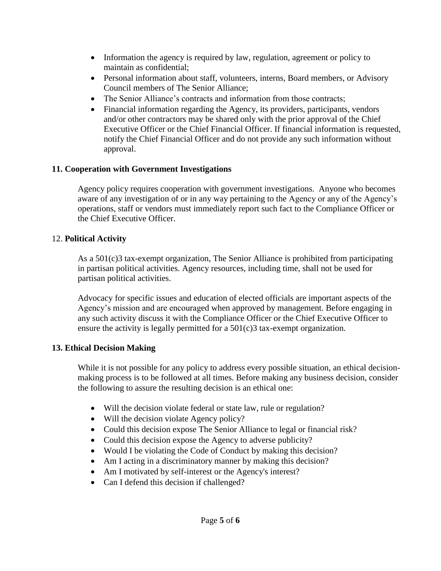- Information the agency is required by law, regulation, agreement or policy to maintain as confidential;
- Personal information about staff, volunteers, interns, Board members, or Advisory Council members of The Senior Alliance;
- The Senior Alliance's contracts and information from those contracts;
- Financial information regarding the Agency, its providers, participants, vendors and/or other contractors may be shared only with the prior approval of the Chief Executive Officer or the Chief Financial Officer. If financial information is requested, notify the Chief Financial Officer and do not provide any such information without approval.

# **11. Cooperation with Government Investigations**

Agency policy requires cooperation with government investigations. Anyone who becomes aware of any investigation of or in any way pertaining to the Agency or any of the Agency's operations, staff or vendors must immediately report such fact to the Compliance Officer or the Chief Executive Officer.

## 12. **Political Activity**

As a 501(c)3 tax-exempt organization, The Senior Alliance is prohibited from participating in partisan political activities. Agency resources, including time, shall not be used for partisan political activities.

Advocacy for specific issues and education of elected officials are important aspects of the Agency's mission and are encouraged when approved by management. Before engaging in any such activity discuss it with the Compliance Officer or the Chief Executive Officer to ensure the activity is legally permitted for a 501(c)3 tax-exempt organization.

## **13. Ethical Decision Making**

While it is not possible for any policy to address every possible situation, an ethical decisionmaking process is to be followed at all times. Before making any business decision, consider the following to assure the resulting decision is an ethical one:

- Will the decision violate federal or state law, rule or regulation?
- Will the decision violate Agency policy?
- Could this decision expose The Senior Alliance to legal or financial risk?
- Could this decision expose the Agency to adverse publicity?
- Would I be violating the Code of Conduct by making this decision?
- Am I acting in a discriminatory manner by making this decision?
- Am I motivated by self-interest or the Agency's interest?
- Can I defend this decision if challenged?